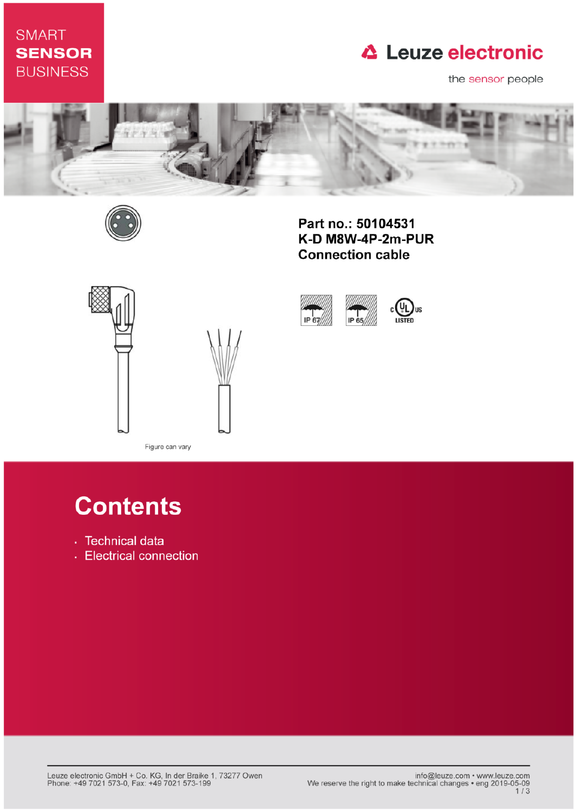# **SMART SENSOR BUSINESS**

# **△ Leuze electronic**

the sensor people



IP 67



Part no.: 50104531 K-D M8W-4P-2m-PUR **Connection cable** 

IP 65



Figure can vary

# **Contents**

- · Technical data
- Electrical connection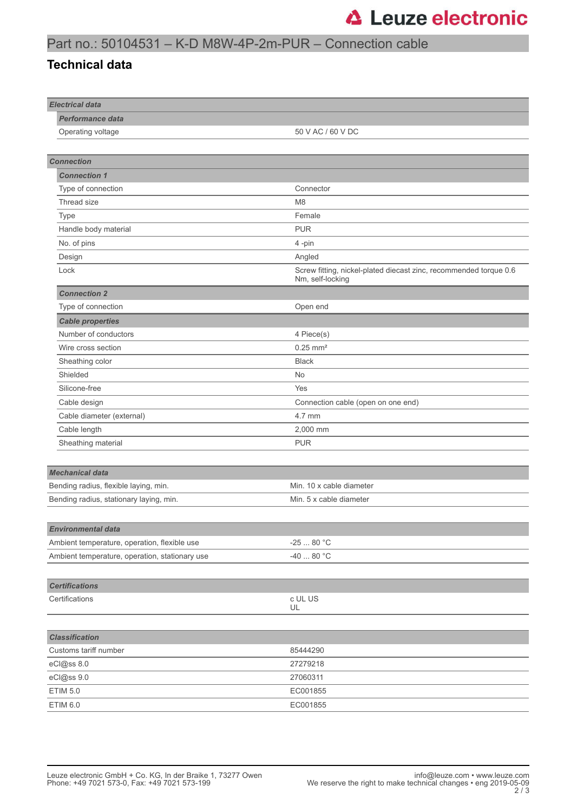## Part no.: 50104531 – K-D M8W-4P-2m-PUR – Connection cable

#### **Technical data**

| <b>Electrical data</b>                         |                                                                                       |
|------------------------------------------------|---------------------------------------------------------------------------------------|
| <b>Performance data</b>                        |                                                                                       |
| Operating voltage                              | 50 V AC / 60 V DC                                                                     |
|                                                |                                                                                       |
| <b>Connection</b>                              |                                                                                       |
| <b>Connection 1</b>                            |                                                                                       |
| Type of connection                             | Connector                                                                             |
| Thread size                                    | M <sub>8</sub>                                                                        |
| Type                                           | Female                                                                                |
| Handle body material                           | <b>PUR</b>                                                                            |
| No. of pins                                    | 4-pin                                                                                 |
| Design                                         | Angled                                                                                |
| Lock                                           | Screw fitting, nickel-plated diecast zinc, recommended torque 0.6<br>Nm, self-locking |
| <b>Connection 2</b>                            |                                                                                       |
| Type of connection                             | Open end                                                                              |
| <b>Cable properties</b>                        |                                                                                       |
| Number of conductors                           | 4 Piece(s)                                                                            |
| Wire cross section                             | $0.25$ mm <sup>2</sup>                                                                |
| Sheathing color                                | <b>Black</b>                                                                          |
| Shielded                                       | <b>No</b>                                                                             |
| Silicone-free                                  | Yes                                                                                   |
| Cable design                                   | Connection cable (open on one end)                                                    |
| Cable diameter (external)                      | 4.7 mm                                                                                |
| Cable length                                   | 2,000 mm                                                                              |
| Sheathing material                             | <b>PUR</b>                                                                            |
|                                                |                                                                                       |
| <b>Mechanical data</b>                         |                                                                                       |
| Bending radius, flexible laying, min.          | Min. 10 x cable diameter                                                              |
| Bending radius, stationary laying, min.        | Min. 5 x cable diameter                                                               |
|                                                |                                                                                       |
| <b>Environmental data</b>                      |                                                                                       |
| Ambient temperature, operation, flexible use   | $-2580 °C$                                                                            |
| Ambient temperature, operation, stationary use | $-4080 °C$                                                                            |
|                                                |                                                                                       |
| <b>Certifications</b>                          |                                                                                       |
| Certifications                                 | c UL US                                                                               |
|                                                | UL                                                                                    |
|                                                |                                                                                       |
| <b>Classification</b>                          |                                                                                       |
| Customs tariff number                          | 85444290                                                                              |
| eCl@ss 8.0                                     | 27279218                                                                              |
| eCl@ss 9.0                                     | 27060311                                                                              |
| <b>ETIM 5.0</b>                                | EC001855                                                                              |
| ETIM 6.0                                       | EC001855                                                                              |